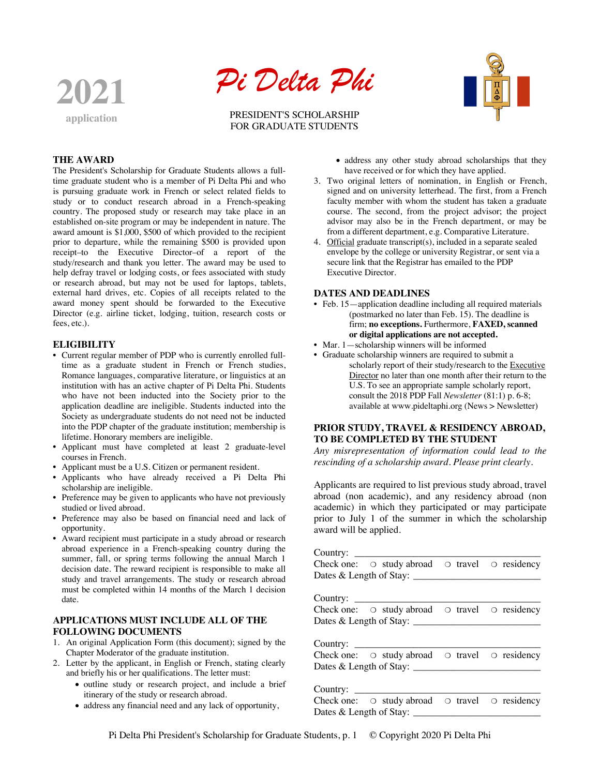



PRESIDENT'S SCHOLARSHIP FOR GRADUATE STUDENTS



#### **THE AWARD**

The President's Scholarship for Graduate Students allows a fulltime graduate student who is a member of Pi Delta Phi and who is pursuing graduate work in French or select related fields to study or to conduct research abroad in a French-speaking country. The proposed study or research may take place in an established on-site program or may be independent in nature. The award amount is \$1,000, \$500 of which provided to the recipient prior to departure, while the remaining \$500 is provided upon receipt–to the Executive Director–of a report of the study/research and thank you letter. The award may be used to help defray travel or lodging costs, or fees associated with study or research abroad, but may not be used for laptops, tablets, external hard drives, etc. Copies of all receipts related to the award money spent should be forwarded to the Executive Director (e.g. airline ticket, lodging, tuition, research costs or fees, etc.).

#### **ELIGIBILITY**

- Current regular member of PDP who is currently enrolled fulltime as a graduate student in French or French studies, Romance languages, comparative literature, or linguistics at an institution with has an active chapter of Pi Delta Phi. Students who have not been inducted into the Society prior to the application deadline are ineligible. Students inducted into the Society as undergraduate students do not need not be inducted into the PDP chapter of the graduate institution; membership is lifetime. Honorary members are ineligible.
- Applicant must have completed at least 2 graduate-level courses in French.
- Applicant must be a U.S. Citizen or permanent resident.
- Applicants who have already received a Pi Delta Phi scholarship are ineligible.
- Preference may be given to applicants who have not previously studied or lived abroad.
- Preference may also be based on financial need and lack of opportunity.
- Award recipient must participate in a study abroad or research abroad experience in a French-speaking country during the summer, fall, or spring terms following the annual March 1 decision date. The reward recipient is responsible to make all study and travel arrangements. The study or research abroad must be completed within 14 months of the March 1 decision date.

# **APPLICATIONS MUST INCLUDE ALL OF THE FOLLOWING DOCUMENTS**

- 1. An original Application Form (this document); signed by the Chapter Moderator of the graduate institution.
- 2. Letter by the applicant, in English or French, stating clearly and briefly his or her qualifications. The letter must:
	- outline study or research project, and include a brief itinerary of the study or research abroad.
	- address any financial need and any lack of opportunity,
- address any other study abroad scholarships that they have received or for which they have applied.
- 3. Two original letters of nomination, in English or French, signed and on university letterhead. The first, from a French faculty member with whom the student has taken a graduate course. The second, from the project advisor; the project advisor may also be in the French department, or may be from a different department, e.g. Comparative Literature.
- 4. Official graduate transcript(s), included in a separate sealed envelope by the college or university Registrar, or sent via a secure link that the Registrar has emailed to the PDP Executive Director.

#### **DATES AND DEADLINES**

- Feb. 15—application deadline including all required materials (postmarked no later than Feb. 15). The deadline is firm; **no exceptions.** Furthermore, **FAXED, scanned or digital applications are not accepted.**
- Mar. 1—scholarship winners will be informed
- Graduate scholarship winners are required to submit a scholarly report of their study/research to the Executive Director no later than one month after their return to the U.S. To see an appropriate sample scholarly report, consult the 2018 PDP Fall *Newsletter* (81:1) p. 6-8; available at www.pideltaphi.org (News > Newsletter)

### **PRIOR STUDY, TRAVEL & RESIDENCY ABROAD, TO BE COMPLETED BY THE STUDENT**

*Any misrepresentation of information could lead to the rescinding of a scholarship award. Please print clearly.*

Applicants are required to list previous study abroad, travel abroad (non academic), and any residency abroad (non academic) in which they participated or may participate prior to July 1 of the summer in which the scholarship award will be applied.

| Country: $\frac{1}{\sqrt{1-\frac{1}{2}} \cdot \frac{1}{2}}$      |  |
|------------------------------------------------------------------|--|
| Check one: $\circ$ study abroad $\circ$ travel $\circ$ residency |  |
|                                                                  |  |

Country:

Check one: ❍ study abroad ❍ travel ❍ residency Dates  $\&$  Length of Stay:

Country:

Check one: ❍ study abroad ❍ travel ❍ residency Dates & Length of Stay: \_\_\_\_\_\_\_\_\_\_\_\_\_\_\_\_\_\_\_\_\_\_\_\_\_\_

Country:  $\Box$ 

Check one:  $\circ$  study abroad  $\circ$  travel  $\circ$  residency Dates  $\&$  Length of Stay:  $\__$